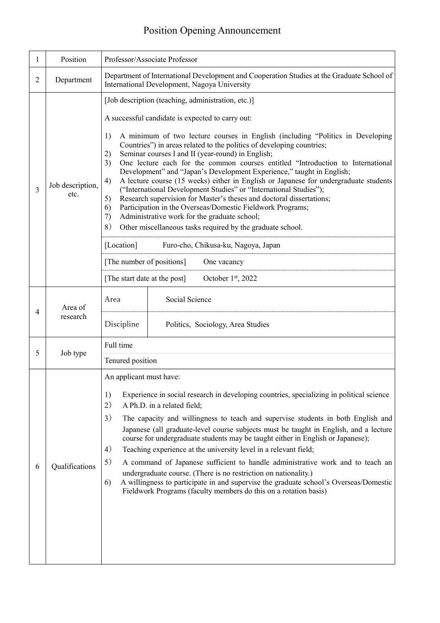## Position Opening Announcement

| 1 | Position                 | Professor/Associate Professor                                                                                                                                                                                                                                                                                                                                                                                                                                                                                                                                                                                                                                                                                                                                                                                                                                                                                                                                                                                                                                                                             |
|---|--------------------------|-----------------------------------------------------------------------------------------------------------------------------------------------------------------------------------------------------------------------------------------------------------------------------------------------------------------------------------------------------------------------------------------------------------------------------------------------------------------------------------------------------------------------------------------------------------------------------------------------------------------------------------------------------------------------------------------------------------------------------------------------------------------------------------------------------------------------------------------------------------------------------------------------------------------------------------------------------------------------------------------------------------------------------------------------------------------------------------------------------------|
| 2 | Department               | Department of International Development and Cooperation Studies at the Graduate School of<br>International Development, Nagoya University                                                                                                                                                                                                                                                                                                                                                                                                                                                                                                                                                                                                                                                                                                                                                                                                                                                                                                                                                                 |
| 3 | Job description,<br>etc. | [Job description (teaching, administration, etc.)]<br>A successful candidate is expected to carry out:<br>1)<br>A minimum of two lecture courses in English (including "Politics in Developing<br>Countries") in areas related to the politics of developing countries;<br>Seminar courses I and II (year-round) in English;<br>2)<br>3)<br>One lecture each for the common courses entitled "Introduction to International<br>Development" and "Japan's Development Experience," taught in English;<br>A lecture course (15 weeks) either in English or Japanese for undergraduate students<br>4)<br>("International Development Studies" or "International Studies");<br>Research supervision for Master's theses and doctoral dissertations;<br>5)<br>Participation in the Overseas/Domestic Fieldwork Programs;<br>6)<br>Administrative work for the graduate school;<br>7)<br>8)<br>Other miscellaneous tasks required by the graduate school.<br>[Location]<br>Furo-cho, Chikusa-ku, Nagoya, Japan<br>[The number of positions]<br>One vacancy<br>[The start date at the post]<br>October 1st, 2022 |
| 4 | Area of<br>research      | Social Science<br>Area<br>Discipline<br>Politics, Sociology, Area Studies                                                                                                                                                                                                                                                                                                                                                                                                                                                                                                                                                                                                                                                                                                                                                                                                                                                                                                                                                                                                                                 |
| 5 | Job type                 | Full time<br>Tenured position                                                                                                                                                                                                                                                                                                                                                                                                                                                                                                                                                                                                                                                                                                                                                                                                                                                                                                                                                                                                                                                                             |
| 6 | Qualifications           | An applicant must have:<br>1)<br>Experience in social research in developing countries, specializing in political science<br>2)<br>A Ph.D. in a related field;<br>3)<br>The capacity and willingness to teach and supervise students in both English and<br>Japanese (all graduate-level course subjects must be taught in English, and a lecture<br>course for undergraduate students may be taught either in English or Japanese);<br>4)<br>Teaching experience at the university level in a relevant field;<br>5)<br>A command of Japanese sufficient to handle administrative work and to teach an<br>undergraduate course. (There is no restriction on nationality.)<br>A willingness to participate in and supervise the graduate school's Overseas/Domestic<br>6)<br>Fieldwork Programs (faculty members do this on a rotation basis)                                                                                                                                                                                                                                                              |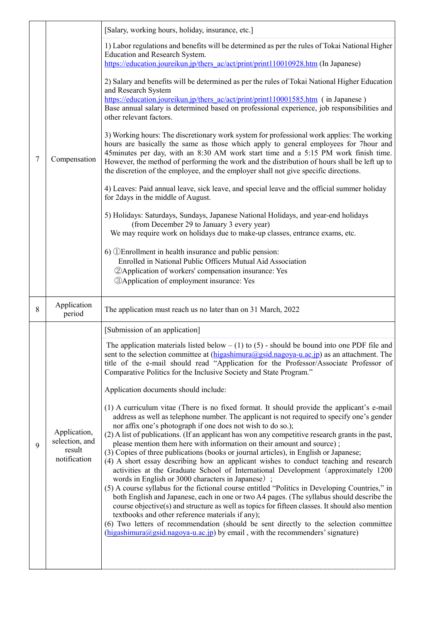|   |                                                          | [Salary, working hours, holiday, insurance, etc.]                                                                                                                                                                                                                                                                                                                                                                                                                                                                                                                                                                                                                                                                                                                                                                                                                                                                                                                                                                                                                                                                                                                                                                                                                                                                            |
|---|----------------------------------------------------------|------------------------------------------------------------------------------------------------------------------------------------------------------------------------------------------------------------------------------------------------------------------------------------------------------------------------------------------------------------------------------------------------------------------------------------------------------------------------------------------------------------------------------------------------------------------------------------------------------------------------------------------------------------------------------------------------------------------------------------------------------------------------------------------------------------------------------------------------------------------------------------------------------------------------------------------------------------------------------------------------------------------------------------------------------------------------------------------------------------------------------------------------------------------------------------------------------------------------------------------------------------------------------------------------------------------------------|
|   |                                                          | 1) Labor regulations and benefits will be determined as per the rules of Tokai National Higher<br>Education and Research System.<br>https://education.joureikun.jp/thers ac/act/print/print110010928.htm (In Japanese)                                                                                                                                                                                                                                                                                                                                                                                                                                                                                                                                                                                                                                                                                                                                                                                                                                                                                                                                                                                                                                                                                                       |
|   |                                                          | 2) Salary and benefits will be determined as per the rules of Tokai National Higher Education<br>and Research System                                                                                                                                                                                                                                                                                                                                                                                                                                                                                                                                                                                                                                                                                                                                                                                                                                                                                                                                                                                                                                                                                                                                                                                                         |
|   |                                                          | https://education.joureikun.jp/thers_ac/act/print/print110001585.htm (in Japanese)<br>Base annual salary is determined based on professional experience, job responsibilities and<br>other relevant factors.                                                                                                                                                                                                                                                                                                                                                                                                                                                                                                                                                                                                                                                                                                                                                                                                                                                                                                                                                                                                                                                                                                                 |
| 7 | Compensation                                             | 3) Working hours: The discretionary work system for professional work applies: The working<br>hours are basically the same as those which apply to general employees for 7hour and<br>45minutes per day, with an 8:30 AM work start time and a 5:15 PM work finish time.<br>However, the method of performing the work and the distribution of hours shall be left up to<br>the discretion of the employee, and the employer shall not give specific directions.                                                                                                                                                                                                                                                                                                                                                                                                                                                                                                                                                                                                                                                                                                                                                                                                                                                             |
|   |                                                          | 4) Leaves: Paid annual leave, sick leave, and special leave and the official summer holiday<br>for 2days in the middle of August.                                                                                                                                                                                                                                                                                                                                                                                                                                                                                                                                                                                                                                                                                                                                                                                                                                                                                                                                                                                                                                                                                                                                                                                            |
|   |                                                          | 5) Holidays: Saturdays, Sundays, Japanese National Holidays, and year-end holidays<br>(from December 29 to January 3 every year)<br>We may require work on holidays due to make-up classes, entrance exams, etc.                                                                                                                                                                                                                                                                                                                                                                                                                                                                                                                                                                                                                                                                                                                                                                                                                                                                                                                                                                                                                                                                                                             |
|   |                                                          | 6) <b><i>OEnrollment</i></b> in health insurance and public pension:<br>Enrolled in National Public Officers Mutual Aid Association<br>2 Application of workers' compensation insurance: Yes<br><b>3</b> Application of employment insurance: Yes                                                                                                                                                                                                                                                                                                                                                                                                                                                                                                                                                                                                                                                                                                                                                                                                                                                                                                                                                                                                                                                                            |
|   |                                                          |                                                                                                                                                                                                                                                                                                                                                                                                                                                                                                                                                                                                                                                                                                                                                                                                                                                                                                                                                                                                                                                                                                                                                                                                                                                                                                                              |
| 8 | Application<br>period                                    | The application must reach us no later than on 31 March, 2022                                                                                                                                                                                                                                                                                                                                                                                                                                                                                                                                                                                                                                                                                                                                                                                                                                                                                                                                                                                                                                                                                                                                                                                                                                                                |
|   |                                                          | [Submission of an application]                                                                                                                                                                                                                                                                                                                                                                                                                                                                                                                                                                                                                                                                                                                                                                                                                                                                                                                                                                                                                                                                                                                                                                                                                                                                                               |
|   |                                                          | The application materials listed below $- (1)$ to $(5)$ - should be bound into one PDF file and<br>sent to the selection committee at $(\underline{higashimura}(Qgsid.nagoya-u.ac.jp})$ as an attachment. The<br>title of the e-mail should read "Application for the Professor/Associate Professor of<br>Comparative Politics for the Inclusive Society and State Program."                                                                                                                                                                                                                                                                                                                                                                                                                                                                                                                                                                                                                                                                                                                                                                                                                                                                                                                                                 |
|   |                                                          | Application documents should include:                                                                                                                                                                                                                                                                                                                                                                                                                                                                                                                                                                                                                                                                                                                                                                                                                                                                                                                                                                                                                                                                                                                                                                                                                                                                                        |
| 9 | Application,<br>selection, and<br>result<br>notification | (1) A curriculum vitae (There is no fixed format. It should provide the applicant's e-mail<br>address as well as telephone number. The applicant is not required to specify one's gender<br>nor affix one's photograph if one does not wish to do so.);<br>(2) A list of publications. (If an applicant has won any competitive research grants in the past,<br>please mention them here with information on their amount and source);<br>(3) Copies of three publications (books or journal articles), in English or Japanese;<br>(4) A short essay describing how an applicant wishes to conduct teaching and research<br>activities at the Graduate School of International Development (approximately 1200)<br>words in English or 3000 characters in Japanese);<br>(5) A course syllabus for the fictional course entitled "Politics in Developing Countries," in<br>both English and Japanese, each in one or two A4 pages. (The syllabus should describe the<br>course objective(s) and structure as well as topics for fifteen classes. It should also mention<br>textbooks and other reference materials if any);<br>(6) Two letters of recommendation (should be sent directly to the selection committee<br>$(\text{higashimura}(\text{Qgsid}.\text{nagoya-u.ac.jp})$ by email, with the recommenders' signature) |